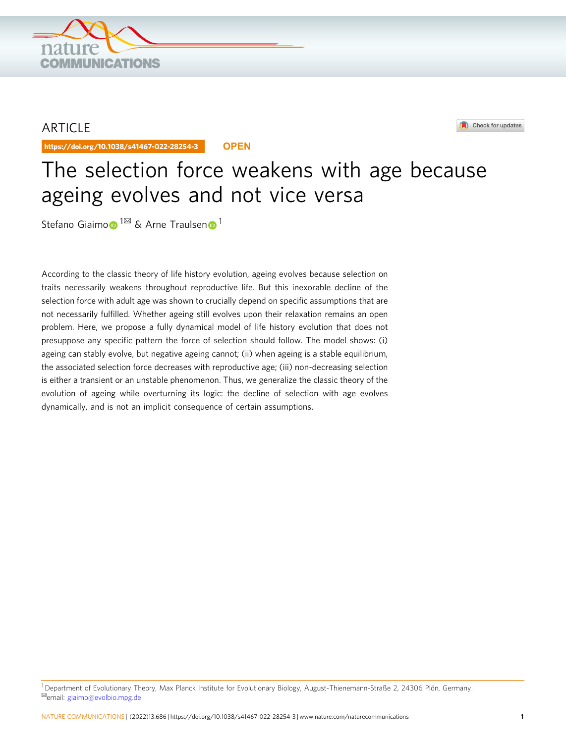

## ARTICLE

https://doi.org/10.1038/s41467-022-28254-3 **OPEN**



# The selection force weakens with age because ageing evolves and not vice versa

Stefan[o](http://orcid.org/0000-0003-0421-3065) Giaimo <sup>1⊠</sup> & Ar[n](http://orcid.org/0000-0002-0669-5267)e Traulsen <sup>[1](http://orcid.org/0000-0002-0669-5267)</sup>

According to the classic theory of life history evolution, ageing evolves because selection on traits necessarily weakens throughout reproductive life. But this inexorable decline of the selection force with adult age was shown to crucially depend on specific assumptions that are not necessarily fulfilled. Whether ageing still evolves upon their relaxation remains an open problem. Here, we propose a fully dynamical model of life history evolution that does not presuppose any specific pattern the force of selection should follow. The model shows: (i) ageing can stably evolve, but negative ageing cannot; (ii) when ageing is a stable equilibrium, the associated selection force decreases with reproductive age; (iii) non-decreasing selection is either a transient or an unstable phenomenon. Thus, we generalize the classic theory of the evolution of ageing while overturning its logic: the decline of selection with age evolves dynamically, and is not an implicit consequence of certain assumptions.

<sup>1</sup>Department of Evolutionary Theory, Max Planck Institute for Evolutionary Biology, August-Thienemann-Straße 2, 24306 Plön, Germany. ✉email: [giaimo@evolbio.mpg.de](mailto:giaimo@evolbio.mpg.de)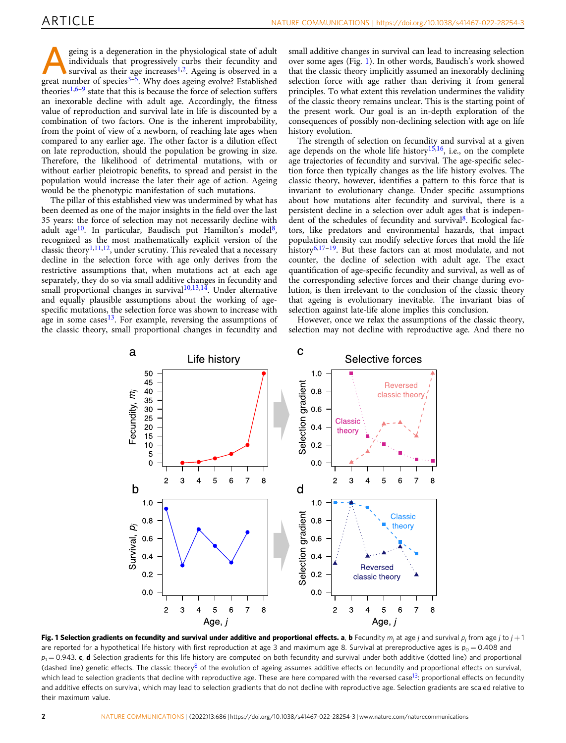<span id="page-1-0"></span>geing is a degeneration in the physiological state of adult<br>individuals that progressively curbs their fecundity and<br>survival as their age increases<sup>[1](#page-5-0),[2](#page-5-0)</sup>. Ageing is observed in a<br>great number of species<sup>3–5</sup> Why does agein individuals that progressively curbs their fecundity and great number of species<sup> $3-\frac{5}{5}$  $3-\frac{5}{5}$  $3-\frac{5}{5}$  $3-\frac{5}{5}$ </sup>. Why does ageing evolve? Established theories<sup>1,[6](#page-6-0)–[9](#page-6-0)</sup> state that this is because the force of selection suffers an inexorable decline with adult age. Accordingly, the fitness value of reproduction and survival late in life is discounted by a combination of two factors. One is the inherent improbability, from the point of view of a newborn, of reaching late ages when compared to any earlier age. The other factor is a dilution effect on late reproduction, should the population be growing in size. Therefore, the likelihood of detrimental mutations, with or without earlier pleiotropic benefits, to spread and persist in the population would increase the later their age of action. Ageing would be the phenotypic manifestation of such mutations.

The pillar of this established view was undermined by what has been deemed as one of the major insights in the field over the last 35 years: the force of selection may not necessarily decline with adult age<sup>[10](#page-6-0)</sup>. In particular, Baudisch put Hamilton's model<sup>8</sup>, recognized as the most mathematically explicit version of the classic theory<sup>[1](#page-5-0),11,12</sup>, under scrutiny. This revealed that a necessary decline in the selection force with age only derives from the restrictive assumptions that, when mutations act at each age separately, they do so via small additive changes in fecundity and small proportional changes in survival $10,13,14$ . Under alternative and equally plausible assumptions about the working of agespecific mutations, the selection force was shown to increase with age in some cases $13$ . For example, reversing the assumptions of the classic theory, small proportional changes in fecundity and small additive changes in survival can lead to increasing selection over some ages (Fig. 1). In other words, Baudisch's work showed that the classic theory implicitly assumed an inexorably declining selection force with age rather than deriving it from general principles. To what extent this revelation undermines the validity of the classic theory remains unclear. This is the starting point of the present work. Our goal is an in-depth exploration of the consequences of possibly non-declining selection with age on life history evolution.

The strength of selection on fecundity and survival at a given age depends on the whole life history<sup>15,16</sup>, i.e., on the complete age trajectories of fecundity and survival. The age-specific selection force then typically changes as the life history evolves. The classic theory, however, identifies a pattern to this force that is invariant to evolutionary change. Under specific assumptions about how mutations alter fecundity and survival, there is a persistent decline in a selection over adult ages that is independent of the schedules of fecundity and survival<sup>8</sup>. Ecological factors, like predators and environmental hazards, that impact population density can modify selective forces that mold the life history $6,17-19$  $6,17-19$ . But these factors can at most modulate, and not counter, the decline of selection with adult age. The exact quantification of age-specific fecundity and survival, as well as of the corresponding selective forces and their change during evolution, is then irrelevant to the conclusion of the classic theory that ageing is evolutionary inevitable. The invariant bias of selection against late-life alone implies this conclusion.

However, once we relax the assumptions of the classic theory, selection may not decline with reproductive age. And there no



Fig. 1 Selection gradients on fecundity and survival under additive and proportional effects. a, b Fecundity  $m_j$  at age j and survival  $p_j$  from age j to j + 1 are reported for a hypothetical life history with first reproduction at age 3 and maximum age 8. Survival at prereproductive ages is  $p_0 = 0.408$  and  $p_1 = 0.943$ . c, d Selection gradients for this life history are computed on both fecundity and survival under both additive (dotted line) and proportional (dashed line) genetic effects. The classic theory<sup>8</sup> of the evolution of ageing assumes additive effects on fecundity and proportional effects on survival, which lead to selection gradients that decline with reproductive age. These are here compared with the reversed case<sup>13</sup>: proportional effects on fecundity and additive effects on survival, which may lead to selection gradients that do not decline with reproductive age. Selection gradients are scaled relative to their maximum value.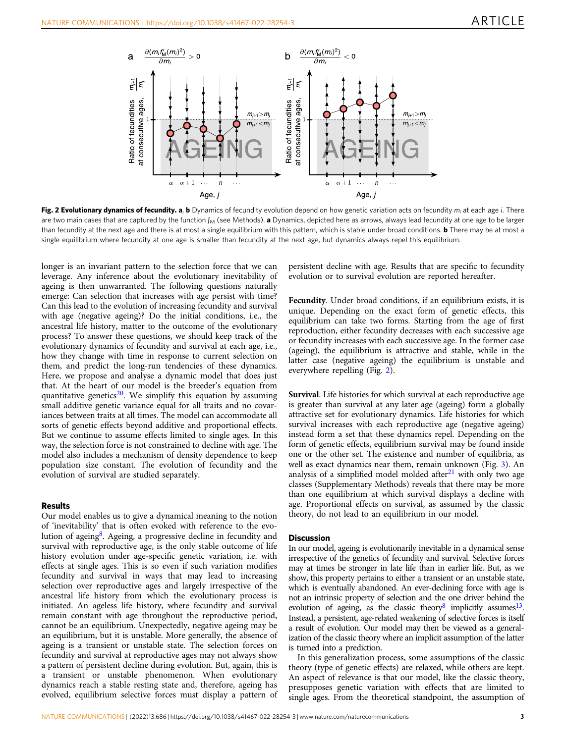<span id="page-2-0"></span>

Fig. 2 Evolutionary dynamics of fecundity. a, b Dynamics of fecundity evolution depend on how genetic variation acts on fecundity  $m_i$  at each age i. There are two main cases that are captured by the function  $f_M$  (see Methods). **a** Dynamics, depicted here as arrows, always lead fecundity at one age to be larger than fecundity at the next age and there is at most a single equilibrium with this pattern, which is stable under broad conditions. **b** There may be at most a single equilibrium where fecundity at one age is smaller than fecundity at the next age, but dynamics always repel this equilibrium.

longer is an invariant pattern to the selection force that we can leverage. Any inference about the evolutionary inevitability of ageing is then unwarranted. The following questions naturally emerge: Can selection that increases with age persist with time? Can this lead to the evolution of increasing fecundity and survival with age (negative ageing)? Do the initial conditions, i.e., the ancestral life history, matter to the outcome of the evolutionary process? To answer these questions, we should keep track of the evolutionary dynamics of fecundity and survival at each age, i.e., how they change with time in response to current selection on them, and predict the long-run tendencies of these dynamics. Here, we propose and analyse a dynamic model that does just that. At the heart of our model is the breeder's equation from quantitative genetics<sup>20</sup>. We simplify this equation by assuming small additive genetic variance equal for all traits and no covariances between traits at all times. The model can accommodate all sorts of genetic effects beyond additive and proportional effects. But we continue to assume effects limited to single ages. In this way, the selection force is not constrained to decline with age. The model also includes a mechanism of density dependence to keep population size constant. The evolution of fecundity and the evolution of survival are studied separately.

### Results

Our model enables us to give a dynamical meaning to the notion of 'inevitability' that is often evoked with reference to the evolution of ageing $\delta$ . Ageing, a progressive decline in fecundity and survival with reproductive age, is the only stable outcome of life history evolution under age-specific genetic variation, i.e. with effects at single ages. This is so even if such variation modifies fecundity and survival in ways that may lead to increasing selection over reproductive ages and largely irrespective of the ancestral life history from which the evolutionary process is initiated. An ageless life history, where fecundity and survival remain constant with age throughout the reproductive period, cannot be an equilibrium. Unexpectedly, negative ageing may be an equilibrium, but it is unstable. More generally, the absence of ageing is a transient or unstable state. The selection forces on fecundity and survival at reproductive ages may not always show a pattern of persistent decline during evolution. But, again, this is a transient or unstable phenomenon. When evolutionary dynamics reach a stable resting state and, therefore, ageing has evolved, equilibrium selective forces must display a pattern of

persistent decline with age. Results that are specific to fecundity evolution or to survival evolution are reported hereafter.

Fecundity. Under broad conditions, if an equilibrium exists, it is unique. Depending on the exact form of genetic effects, this equilibrium can take two forms. Starting from the age of first reproduction, either fecundity decreases with each successive age or fecundity increases with each successive age. In the former case (ageing), the equilibrium is attractive and stable, while in the latter case (negative ageing) the equilibrium is unstable and everywhere repelling (Fig. 2).

Survival. Life histories for which survival at each reproductive age is greater than survival at any later age (ageing) form a globally attractive set for evolutionary dynamics. Life histories for which survival increases with each reproductive age (negative ageing) instead form a set that these dynamics repel. Depending on the form of genetic effects, equilibrium survival may be found inside one or the other set. The existence and number of equilibria, as well as exact dynamics near them, remain unknown (Fig. [3\)](#page-3-0). An analysis of a simplified model molded after $21$  with only two age classes (Supplementary Methods) reveals that there may be more than one equilibrium at which survival displays a decline with age. Proportional effects on survival, as assumed by the classic theory, do not lead to an equilibrium in our model.

#### **Discussion**

In our model, ageing is evolutionarily inevitable in a dynamical sense irrespective of the genetics of fecundity and survival. Selective forces may at times be stronger in late life than in earlier life. But, as we show, this property pertains to either a transient or an unstable state, which is eventually abandoned. An ever-declining force with age is not an intrinsic property of selection and the one driver behind the evolution of ageing, as the classic theory<sup>8</sup> implicitly assumes<sup>13</sup>. Instead, a persistent, age-related weakening of selective forces is itself a result of evolution. Our model may then be viewed as a generalization of the classic theory where an implicit assumption of the latter is turned into a prediction.

In this generalization process, some assumptions of the classic theory (type of genetic effects) are relaxed, while others are kept. An aspect of relevance is that our model, like the classic theory, presupposes genetic variation with effects that are limited to single ages. From the theoretical standpoint, the assumption of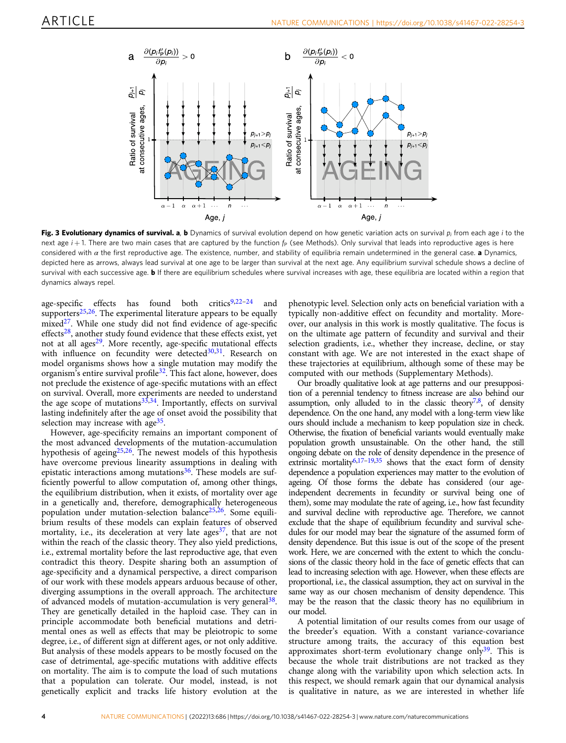<span id="page-3-0"></span>

Fig. 3 Evolutionary dynamics of survival. a, b Dynamics of survival evolution depend on how genetic variation acts on survival  $p_i$  from each age i to the next age  $i + 1$ . There are two main cases that are captured by the function  $f_P$  (see Methods). Only survival that leads into reproductive ages is here considered with  $\alpha$  the first reproductive age. The existence, number, and stability of equilibria remain undetermined in the general case. a Dynamics, depicted here as arrows, always lead survival at one age to be larger than survival at the next age. Any equilibrium survival schedule shows a decline of survival with each successive age. **b** If there are equilibrium schedules where survival increases with age, these equilibria are located within a region that dynamics always repel.

age-specific effects has found both critics $9,22-24$  $9,22-24$  $9,22-24$  $9,22-24$  $9,22-24$  and supporters $25,26$ . The experimental literature appears to be equally mixed $27$ . While one study did not find evidence of age-specific effects $28$ , another study found evidence that these effects exist, yet not at all ages $29$ . More recently, age-specific mutational effects with influence on fecundity were detected $30,31$ . Research on model organisms shows how a single mutation may modify the organism's entire survival profile<sup>[32](#page-6-0)</sup>. This fact alone, however, does not preclude the existence of age-specific mutations with an effect on survival. Overall, more experiments are needed to understand the age scope of mutations $33,34$ . Importantly, effects on survival lasting indefinitely after the age of onset avoid the possibility that selection may increase with age $35$ .

However, age-specificity remains an important component of the most advanced developments of the mutation-accumulation hypothesis of ageing $25,26$  $25,26$  $25,26$ . The newest models of this hypothesis have overcome previous linearity assumptions in dealing with epistatic interactions among mutations<sup>36</sup>. These models are sufficiently powerful to allow computation of, among other things, the equilibrium distribution, when it exists, of mortality over age in a genetically and, therefore, demographically heterogeneous population under mutation-selection balance $25,26$ . Some equilibrium results of these models can explain features of observed mortality, i.e., its deceleration at very late ages<sup>[37](#page-6-0)</sup>, that are not within the reach of the classic theory. They also yield predictions, i.e., extremal mortality before the last reproductive age, that even contradict this theory. Despite sharing both an assumption of age-specificity and a dynamical perspective, a direct comparison of our work with these models appears arduous because of other, diverging assumptions in the overall approach. The architecture of advanced models of mutation-accumulation is very general<sup>38</sup>. They are genetically detailed in the haploid case. They can in principle accommodate both beneficial mutations and detrimental ones as well as effects that may be pleiotropic to some degree, i.e., of different sign at different ages, or not only additive. But analysis of these models appears to be mostly focused on the case of detrimental, age-specific mutations with additive effects on mortality. The aim is to compute the load of such mutations that a population can tolerate. Our model, instead, is not genetically explicit and tracks life history evolution at the

phenotypic level. Selection only acts on beneficial variation with a typically non-additive effect on fecundity and mortality. Moreover, our analysis in this work is mostly qualitative. The focus is on the ultimate age pattern of fecundity and survival and their selection gradients, i.e., whether they increase, decline, or stay constant with age. We are not interested in the exact shape of these trajectories at equilibrium, although some of these may be computed with our methods (Supplementary Methods).

Our broadly qualitative look at age patterns and our presupposition of a perennial tendency to fitness increase are also behind our assumption, only alluded to in the classic theory<sup>[7](#page-6-0),[8](#page-6-0)</sup>, of density dependence. On the one hand, any model with a long-term view like ours should include a mechanism to keep population size in check. Otherwise, the fixation of beneficial variants would eventually make population growth unsustainable. On the other hand, the still ongoing debate on the role of density dependence in the presence of extrinsic mortality<sup>6,17-[19,35](#page-6-0)</sup> shows that the exact form of density dependence a population experiences may matter to the evolution of ageing. Of those forms the debate has considered (our ageindependent decrements in fecundity or survival being one of them), some may modulate the rate of ageing, i.e., how fast fecundity and survival decline with reproductive age. Therefore, we cannot exclude that the shape of equilibrium fecundity and survival schedules for our model may bear the signature of the assumed form of density dependence. But this issue is out of the scope of the present work. Here, we are concerned with the extent to which the conclusions of the classic theory hold in the face of genetic effects that can lead to increasing selection with age. However, when these effects are proportional, i.e., the classical assumption, they act on survival in the same way as our chosen mechanism of density dependence. This may be the reason that the classic theory has no equilibrium in our model.

A potential limitation of our results comes from our usage of the breeder's equation. With a constant variance-covariance structure among traits, the accuracy of this equation best approximates short-term evolutionary change only<sup>39</sup>. This is because the whole trait distributions are not tracked as they change along with the variability upon which selection acts. In this respect, we should remark again that our dynamical analysis is qualitative in nature, as we are interested in whether life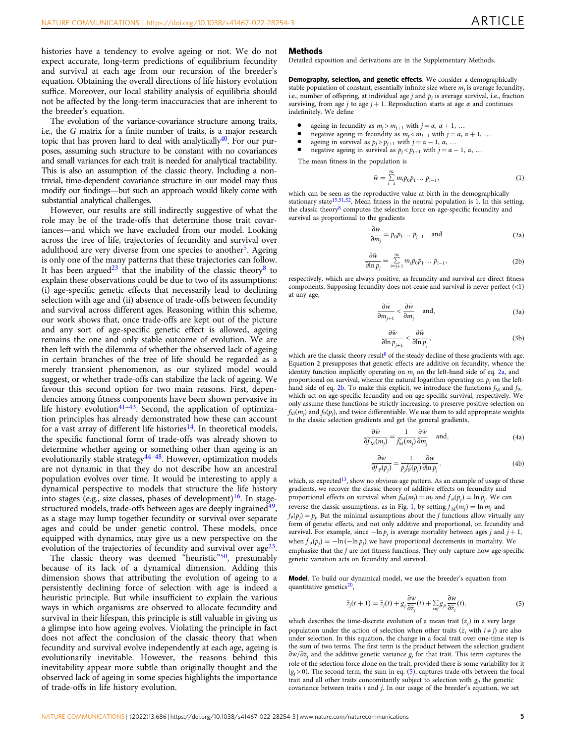<span id="page-4-0"></span>histories have a tendency to evolve ageing or not. We do not expect accurate, long-term predictions of equilibrium fecundity and survival at each age from our recursion of the breeder's equation. Obtaining the overall directions of life history evolution suffice. Moreover, our local stability analysis of equilibria should not be affected by the long-term inaccuracies that are inherent to the breeder's equation.

The evolution of the variance-covariance structure among traits, i.e., the G matrix for a finite number of traits, is a major research topic that has proven hard to deal with analytically<sup>40</sup>. For our purposes, assuming such structure to be constant with no covariances and small variances for each trait is needed for analytical tractability. This is also an assumption of the classic theory. Including a nontrivial, time-dependent covariance structure in our model may thus modify our findings—but such an approach would likely come with substantial analytical challenges.

However, our results are still indirectly suggestive of what the role may be of the trade-offs that determine those trait covariances—and which we have excluded from our model. Looking across the tree of life, trajectories of fecundity and survival over adulthood are very diverse from one species to another<sup>5</sup>. Ageing is only one of the many patterns that these trajectories can follow. It has been argued<sup>[23](#page-6-0)</sup> that the inability of the classic theory<sup>[8](#page-6-0)</sup> to explain these observations could be due to two of its assumptions: (i) age-specific genetic effects that necessarily lead to declining selection with age and (ii) absence of trade-offs between fecundity and survival across different ages. Reasoning within this scheme, our work shows that, once trade-offs are kept out of the picture and any sort of age-specific genetic effect is allowed, ageing remains the one and only stable outcome of evolution. We are then left with the dilemma of whether the observed lack of ageing in certain branches of the tree of life should be regarded as a merely transient phenomenon, as our stylized model would suggest, or whether trade-offs can stabilize the lack of ageing. We favour this second option for two main reasons. First, dependencies among fitness components have been shown pervasive in life history evolution $41-43$  $41-43$  $41-43$ . Second, the application of optimization principles has already demonstrated how these can account for a vast array of different life histories<sup>14</sup>. In theoretical models, the specific functional form of trade-offs was already shown to determine whether ageing or something other than ageing is an evolutionarily stable strategy $44-48$  $44-48$  $44-48$ . However, optimization models are not dynamic in that they do not describe how an ancestral population evolves over time. It would be interesting to apply a dynamical perspective to models that structure the life history into stages (e.g., size classes, phases of development) $16$ . In stagestructured models, trade-offs between ages are deeply ingrained<sup>49</sup>, as a stage may lump together fecundity or survival over separate ages and could be under genetic control. These models, once equipped with dynamics, may give us a new perspective on the evolution of the trajectories of fecundity and survival over  $age^{23}$ .

The classic theory was deemed "heuristic"<sup>[50](#page-6-0)</sup>, presumably because of its lack of a dynamical dimension. Adding this dimension shows that attributing the evolution of ageing to a persistently declining force of selection with age is indeed a heuristic principle. But while insufficient to explain the various ways in which organisms are observed to allocate fecundity and survival in their lifespan, this principle is still valuable in giving us a glimpse into how ageing evolves. Violating the principle in fact does not affect the conclusion of the classic theory that when fecundity and survival evolve independently at each age, ageing is evolutionarily inevitable. However, the reasons behind this inevitability appear more subtle than originally thought and the observed lack of ageing in some species highlights the importance of trade-offs in life history evolution.

#### Methods

Detailed exposition and derivations are in the Supplementary Methods.

Demography, selection, and genetic effects. We consider a demographically stable population of constant, essentially infinite size where  $m_i$  is average fecundity, i.e., number of offspring, at individual age  $j$  and  $p_j$  is average survival, i.e., fraction surviving, from age j to age  $j + 1$ . Reproduction starts at age  $\alpha$  and continues indefinitely. We define

- ageing in fecundity as  $m_j > m_{j+1}$  with  $j = \alpha$ ,  $\alpha + 1$ , ...
- negative ageing in fecundity as  $m_j < m_{j+1}$  with  $j = \alpha, \alpha + 1, ...$ <br>• ageing in survival as  $n > n_{j+1}$  with  $j = \alpha 1, \alpha$ .
- ageing in survival as  $p_j > p_{j+1}$  with  $j = \alpha 1$ ,  $\alpha$ , ...
- negative ageing in survival as  $p_j < p_{j+1}$  with  $j = \alpha 1$ ,  $\alpha$ , ...

The mean fitness in the population is

$$
\bar{w} = \sum_{i=1}^{\infty} m_i p_0 p_1 \dots p_{i-1},\tag{1}
$$

which can be seen as the reproductive value at birth in the demographically stationary state<sup>[15,51,52](#page-6-0)</sup>. Mean fitness in the neutral population is 1. In this setting, the classic theory<sup>[8](#page-6-0)</sup> computes the selection force on age-specific fecundity and survival as proportional to the gradients

$$
\frac{\partial \bar{w}}{\partial m_j} = p_0 p_1 \dots p_{j-1} \quad \text{and} \tag{2a}
$$

$$
\frac{\partial \bar{w}}{\partial \ln p_j} = \sum_{i=j+1}^{\infty} m_i p_0 p_1 \dots p_{i-1},
$$
 (2b)

respectively, which are always positive, as fecundity and survival are direct fitness components. Supposing fecundity does not cease and survival is never perfect (<1) at any age,

$$
\frac{\partial \bar{w}}{\partial m_{j+1}} < \frac{\partial \bar{w}}{\partial m_j} \quad \text{and,} \tag{3a}
$$

$$
\frac{\partial \bar{w}}{\partial \ln p_{j+1}} < \frac{\partial \bar{w}}{\partial \ln p_j},\tag{3b}
$$

which are the classic theory result<sup>[8](#page-6-0)</sup> of the steady decline of these gradients with age. Equation 2 presupposes that genetic effects are additive on fecundity, whence the identity function implicitly operating on  $m_j$  on the left-hand side of eq. 2a, and proportional on survival, whence the natural logarithm operating on  $p_j$  on the lefthand side of eq. 2b. To make this explicit, we introduce the functions  $f_M$  and  $f_P$ , which act on age-specific fecundity and on age-specific survival, respectively. We only assume these functions be strictly increasing, to preserve positive selection on  $f_M(m_i)$  and  $f_P(p_i)$ , and twice differentiable. We use them to add appropriate weights to the classic selection gradients and get the general gradients,

$$
\frac{\partial \bar{w}}{\partial f_M(m_j)} = \frac{1}{f'_M(m_j)} \frac{\partial \bar{w}}{\partial m_j} \quad \text{and,}
$$
 (4a)

$$
\frac{\partial \bar{w}}{\partial f_p(p_j)} = \frac{1}{p_j f'_p(p_j)} \frac{\partial \bar{w}}{\partial \ln p_j},\tag{4b}
$$

which, as expected<sup>13</sup>, show no obvious age pattern. As an example of usage of these gradients, we recover the classic theory of additive effects on fecundity and proportional effects on survival when  $f_M(m_j) = m_j$  and  $f_p(p_j) = \ln p_j$ . We can reverse the classic assumptions, as in Fig. [1,](#page-1-0) by setting  $f_M(m_i) = \ln m_i$  and  $f_P(p_j) = p_j$ . But the minimal assumptions about the f functions allow virtually any form of genetic effects, and not only additive and proportional, on fecundity and survival. For example, since  $-\ln p_j$  is average mortality between ages j and  $j + 1$ , when  $f_p(p_j) = -\ln(-\ln p_j)$  we have proportional decrements in mortality. We emphasize that the f are not fitness functions. They only capture how age-specific genetic variation acts on fecundity and survival.

Model. To build our dynamical model, we use the breeder's equation from quantitative genetics $20$ ,

$$
\bar{z}_j(t+1) = \bar{z}_j(t) + g_j \frac{\partial \bar{w}}{\partial \bar{z}_j}(t) + \sum_{i \neq j} g_{ji} \frac{\partial \bar{w}}{\partial \bar{z}_i}(t),\tag{5}
$$

which describes the time-discrete evolution of a mean trait  $(\bar{z}_i)$  in a very large population under the action of selection when other traits  $(\bar{z}_i$  with  $i \neq j$ ) are also under selection. In this equation, the change in a focal trait over one-time step is the sum of two terms. The first term is the product between the selection gradient  $\partial \bar{w}/\partial \bar{z}_i$  and the additive genetic variance  $g_j$  for that trait. This term captures the role of the selection force alone on the trait, provided there is some variability for it  $(g_i > 0)$ . The second term, the sum in eq. (5), captures trade-offs between the focal trait and all other traits concomitantly subject to selection with  $g_{ji}$  the genetic covariance between traits  $i$  and  $j$ . In our usage of the breeder's equation, we set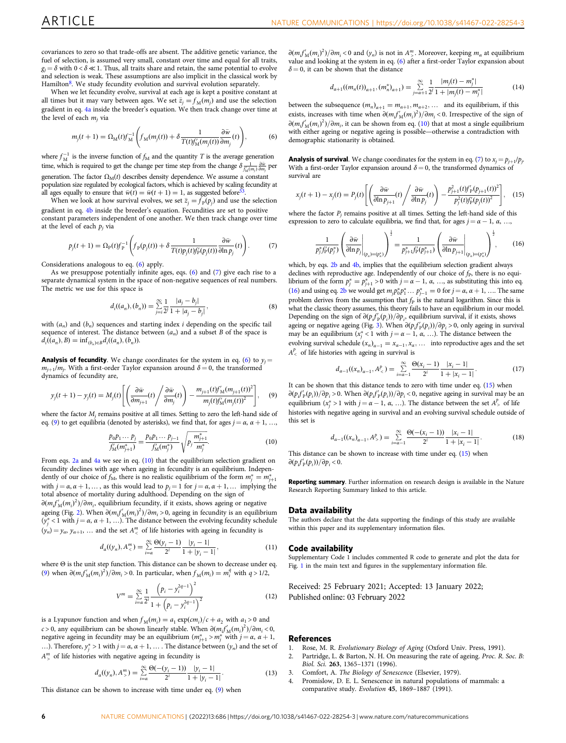<span id="page-5-0"></span>covariances to zero so that trade-offs are absent. The additive genetic variance, the fuel of selection, is assumed very small, constant over time and equal for all traits,  $g_i = \delta$  with  $0 < \delta \ll 1$ . Thus, all traits share and retain, the same potential to evolve and selection is weak. These assumptions are also implicit in the classical work by Hamilton<sup>[8](#page-6-0)</sup>. We study fecundity evolution and survival evolution separately.

When we let fecundity evolve, survival at each age is kept a positive constant at all times but it may vary between ages. We set  $\bar{z}_j = f_M(m_j)$  and use the selection gradient in eq. [4a](#page-4-0) inside the breeder's equation. We then track change over time at the level of each  $m_i$  via

$$
m_j(t+1) = \Omega_M(t) f_M^{-1} \left( f_M(m_j(t)) + \delta \frac{1}{T(t) f'_M(m_j(t))} \frac{\partial \bar{w}}{\partial m_j}(t) \right),\tag{6}
$$

where  $f_M^{-1}$  is the inverse function of  $f_M$  and the quantity T is the average generation time, which is required to get the change per time step from the change  $\delta \frac{1}{f'_{M}(m_j)} \frac{\partial \tilde{w}}{\partial m_j}$  per generation. The factor  $\Omega_M(t)$  describes density dependence. We assume a constant population size regulated by ecological factors, which is achieved by scaling fecundity at all ages equally to ensure that  $\bar{w}(t) = \bar{w}(t+1) = 1$ , as suggested before

When we look at how survival evolves, we set  $\bar{z}_j = f_p(p_j)$  and use the selection gradient in eq. [4b](#page-4-0) inside the breeder's equation. Fecundities are set to positive constant parameters independent of one another. We then track change over time at the level of each  $p_j$  via

$$
p_j(t+1) = \Omega_{\rm p}(t) f_{\rm p}^{-1} \left( f_{\rm p}(p_j(t)) + \delta \frac{1}{T(t) p_j(t) f_{\rm p}'(p_j(t))} \frac{\partial \bar{w}}{\partial \ln p_j}(t) \right). \tag{7}
$$

Considerations analogous to eq. (6) apply.

As we presuppose potentially infinite ages, eqs. (6) and (7) give each rise to a separate dynamical system in the space of non-negative sequences of real numbers. The metric we use for this space is

$$
d_i((a_n), (b_n)) = \sum_{j=i}^{\infty} \frac{1}{2^j} \frac{|a_j - b_j|}{1 + |a_j - b_j|},
$$
\n(8)

with  $(a_n)$  and  $(b_n)$  sequences and starting index i depending on the specific tail sequence of interest. The distance between  $(a_n)$  and a subset B of the space is  $d_i((a_n), B) = \inf_{(b_n) \in B} d_i((a_n), (b_n)).$ 

**Analysis of fecundity**. We change coordinates for the system in eq. (6) to  $y_j =$  $m_{i+1}/m_i$ . With a first-order Taylor expansion around  $\delta = 0$ , the transformed dynamics of fecundity are,

$$
y_j(t+1) - y_j(t) = M_j(t) \left[ \left( \frac{\partial \bar{w}}{\partial m_{j+1}}(t) \middle/ \frac{\partial \bar{w}}{\partial m_j}(t) \right) - \frac{m_{j+1}(t) f'_{M}(m_{j+1}(t))^{2}}{m_j(t) f'_{M}(m_j(t))^{2}} \right], \quad (9)
$$

where the factor  $M_i$  remains positive at all times. Setting to zero the left-hand side of eq. (9) to get equilibria (denoted by asterisks), we find that, for ages  $j = \alpha, \alpha + 1, \ldots$ 

$$
\frac{p_0 p_1 \cdots p_j}{f_M'(m_{j+1}^*)} = \frac{p_0 p_1 \cdots p_{j-1}}{f_M'(m_j^*)} \sqrt{p_j \frac{m_{j+1}^*}{m_j^*}}.
$$
\n(10)

From eqs. [2a](#page-4-0) and [4a](#page-4-0) we see in eq. (10) that the equilibrium selection gradient on fecundity declines with age when ageing in fecundity is an equilibrium. Independently of our choice of  $f_M$ , there is no realistic equilibrium of the form  $m_j^* = m_{j+1}^*$ with  $j = \alpha, \alpha + 1, \dots$ , as this would lead to  $p_j = 1$  for  $j = \alpha, \alpha + 1, \dots$  implying the total absence of mortality during adulthood. Depending on the sign of  $\partial (m_i f'_{\mathcal{M}}(m_i)^2)/\partial m_i$ , equilibrium fecundity, if it exists, shows ageing or negative ageing (Fig. [2](#page-2-0)). When  $\partial (m_i f'_{\mathcal{M}}(m_i)^2)/\partial m_i > 0$ , ageing in fecundity is an equilibrium ( $y_j^*$  < 1 with  $j = \alpha$ ,  $\alpha + 1$ , ...). The distance between the evolving fecundity schedule  $(y_n) = y_\infty$ ,  $y_{\alpha+1}$ , ... and the set  $A_{\leq}^m$  of life histories with ageing in fecundity is

$$
d_{\alpha}((y_n), A_{\leq}^m) = \sum_{i=\alpha}^{\infty} \frac{\Theta(y_i - 1)}{2^i} \frac{|y_i - 1|}{1 + |y_i - 1|},
$$
\n(11)

where Θ is the unit step function. This distance can be shown to decrease under eq. (9) when  $\partial (m_i f'_M(m_i)^2) / \partial m_i > 0$ . In particular, when  $f_M(m_i) = m_i^q$  with  $q > 1/2$ ,

$$
V^{m} = \sum_{i=\alpha}^{\infty} \frac{1}{2^{i}} \frac{\left(p_{i} - y_{i}^{2q-1}\right)^{2}}{1 + \left(p_{i} - y_{i}^{2q-1}\right)^{2}}
$$
(12)

is a Lyapunov function and when  $f_M(m_i) = a_1 \exp(c m_i)/c + a_2$  with  $a_1 > 0$  and  $c > 0$ , any equilibrium can be shown linearly stable. When  $\partial (m_i f'_M(m_i)^2)/\partial m_i < 0$ , negative ageing in fecundity may be an equilibrium  $(m_{j+1}^* > m_j^*)$  with  $j = \alpha$ ,  $\alpha + 1$ , ...). Therefore,  $y_j^* > 1$  with  $j = \alpha$ ,  $\alpha + 1$ , ... . The distance between  $(y_n)$  and the set of  $A_{\geq}^{m}$  of life histories with negative ageing in fecundity is

$$
d_{\alpha}((y_n), A_{\geq}^m) = \sum_{i=\alpha}^{\infty} \frac{\Theta(-(y_i - 1))}{2^i} \frac{|y_i - 1|}{1 + |y_i - 1|}.
$$
 (13)

This distance can be shown to increase with time under eq. (9) when

 $\partial (m_i f'_{\mathcal{M}}(m_i)^2)/\partial m_i < 0$  and  $(y_n)$  is not in  $A^m$ . Moreover, keeping  $m_\alpha$  at equilibrium value and looking at the system in eq. (6) after a first-order Taylor expansion about  $\delta$  = 0, it can be shown that the distance

$$
d_{\alpha+1}((m_n(t))_{\alpha+1},(m_n^*)_{\alpha+1}) = \sum_{j=\alpha+1}^{\infty} \frac{1}{2^j} \frac{|m_j(t) - m_j^*|}{1 + |m_j(t) - m_j^*|}
$$
(14)

between the subsequence  $(m_n)_{\alpha+1} = m_{\alpha+1}, m_{\alpha+2}, \dots$  and its equilibrium, if this exists, increases with time when  $\partial (m_i f'_M(m_i)^2)/\partial m_i < 0$ . Irrespective of the sign of  $\partial (m_i f'_{\mathcal{M}}(m_i)^2)/\partial m_i$ , it can be shown from eq. (10) that at most a single equilibrium with either ageing or negative ageing is possible—otherwise a contradiction with demographic stationarity is obtained.

**Analysis of survival**. We change coordinates for the system in eq. (7) to  $x_j = p_{j+1}/p_j$ With a first-order Taylor expansion around  $\delta = 0$ , the transformed dynamics of survival are

$$
x_j(t+1) - x_j(t) = P_j(t) \left[ \left( \frac{\partial \bar{w}}{\partial \ln p_{j+1}}(t) \middle/ \frac{\partial \bar{w}}{\partial \ln p_j}(t) \right) - \frac{p_{j+1}^2(t) f'_{P}(p_{j+1}(t))^2}{p_j^2(t) f'_{P}(p_j(t))^2} \right], \quad (15)
$$

where the factor  $P_i$  remains positive at all times. Setting the left-hand side of this expression to zero to calculate equilibria, we find that, for ages  $j = \alpha - 1, \alpha, \ldots$ 

$$
\frac{1}{p_j^* f_p' (p_j^*)} \left( \frac{\partial \bar{w}}{\partial \ln p_j} \Big|_{(p_n) = (p_n^*)} \right)^{\frac{1}{2}} = \frac{1}{p_{j+1}^* f_p' (p_{j+1}^*)} \left( \frac{\partial \bar{w}}{\partial \ln p_{j+1}} \Big|_{(p_n) = (p_n^*)} \right)^{\frac{1}{2}},\tag{16}
$$

which, by eqs. [2b](#page-4-0) and [4b,](#page-4-0) implies that the equilibrium selection gradient always declines with reproductive age. Independently of our choice of  $f<sub>P</sub>$ , there is no equilibrium of the form  $p_j^* = p_{j+1}^* > 0$  with  $j = \alpha - 1$ ,  $\alpha$ , ..., as substituting this into eq. (16) and using eq. [2b](#page-4-0) we would get  $m_j p_0^* p_1^* ... p_{j-1}^* = 0$  for  $j = \alpha, \alpha + 1, ...$  The same problem derives from the assumption that  $f<sub>P</sub>$  is the natural logarithm. Since this is what the classic theory assumes, this theory fails to have an equilibrium in our model. Depending on the sign of  $\frac{\partial (p_j f'_p(p_j))}{\partial p_j}$ , equilibrium survival, if it exists, shows ageing or negative ageing (Fig. [3](#page-3-0)). When  $\partial (p_j f'_p(p_i))/\partial p_j > 0$ , only ageing in survival may be an equilibrium ( $x_j^*$  < 1 with  $j = \alpha - 1$ ,  $\alpha$ , ...). The distance between the evolving survival schedule  $(x_n)_{\alpha-1} = x_{\alpha-1}, x_\alpha, \dots$  into reproductive ages and the set  $A_{\leq}^{p}$  of life histories with ageing in survival is

$$
d_{\alpha-1}((x_n)_{\alpha-1}, A^p) = \sum_{i=\alpha-1}^{\infty} \frac{\Theta(x_i-1)}{2^i} \frac{|x_i-1|}{1+|x_i-1|}.
$$
 (17)

It can be shown that this distance tends to zero with time under eq. (15) when  $\partial (p_i f'_p(p_i)) / \partial p_i > 0$ . When  $\partial (p_i f'_p(p_i)) / \partial p_i < 0$ , negative ageing in survival may be an equilibrium  $(x_j^*) > 1$  with  $j = \alpha - 1, \alpha, ...$ ). The distance between the set  $A_{\geq 0}^p$  of life histories with negative ageing in survival and an evolving survival schedule outside of this set is

$$
d_{\alpha-1}((x_n)_{\alpha-1}, A^p) = \sum_{i=\alpha-1}^{\infty} \frac{\Theta(-(x_i-1))}{2^i} \frac{|x_i-1|}{1+|x_i-1|}.
$$
 (18)

This distance can be shown to increase with time under eq. (15) when  $\frac{\partial (p_i f'_{\rm P}(p_i))}{\partial p_i} < 0.$ 

Reporting summary. Further information on research design is available in the Nature Research Reporting Summary linked to this article.

#### Data availability

The authors declare that the data supporting the findings of this study are available within this paper and its supplementary information files.

#### Code availability

Supplementary Code 1 includes commented R code to generate and plot the data for Fig. [1](#page-1-0) in the main text and figures in the supplementary information file.

Received: 25 February 2021; Accepted: 13 January 2022; Published online: 03 February 2022

#### References

- 1. Rose, M. R. Evolutionary Biology of Aging (Oxford Univ. Press, 1991).<br>2. Partridge. L. & Barton. N. H. On measuring the rate of ageing. Proc. R.
- Partridge, L. & Barton, N. H. On measuring the rate of ageing. Proc. R. Soc. B: Biol. Sci. 263, 1365–1371 (1996).
- 3. Comfort, A. The Biology of Senescence (Elsevier, 1979).
- Promislow, D. E. L. Senescence in natural populations of mammals: a comparative study. Evolution 45, 1869–1887 (1991).